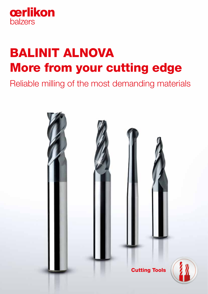

# BALINIT ALNOVA More from your cutting edge

Reliable milling of the most demanding materials

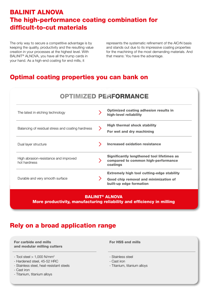# BALINIT ALNOVA The high-performance coating combination for difficult-to-cut materials

The only way to secure a competitive advantage is by keeping the quality, productivity and the resulting value creation in your processes at the highest level. With BALINIT® ALNOVA, you have all the trump cards in your hand. As a high-end coating for end mills, it

represents the systematic refinement of the AlCrN basis and stands out due to its impressive coating properties for the machining of the most demanding materials. And that means: You have the advantage.

### Optimal coating properties you can bank on

| <b>OPTIMIZED PERFORMANCE</b>                          |  |                                                                                                                       |  |  |
|-------------------------------------------------------|--|-----------------------------------------------------------------------------------------------------------------------|--|--|
| The latest in etching technology                      |  | <b>Optimized coating adhesion results in</b><br>high-level reliability                                                |  |  |
| Balancing of residual stress and coating hardness     |  | <b>High thermal shock stability</b><br>For wet and dry machining                                                      |  |  |
| Dual layer structure                                  |  | <b>Increased oxidation resistance</b>                                                                                 |  |  |
| High abrasion-resistance and improved<br>hot hardness |  | Significantly lengthened tool lifetimes as<br>compared to common high-performance<br>coatings                         |  |  |
| Durable and very smooth surface                       |  | <b>Extremely high tool cutting-edge stability</b><br>Good chip removal and minimization of<br>built-up edge formation |  |  |

### BALINIT® ALNOVA

More productivity, manufacturing reliability and efficiency in milling

### Rely on a broad application range

For carbide end mills and modular milling cutters

- $-$  Tool steel  $> 1.000$  N/mm<sup>2</sup>
- Hardened steel, 45-52 HRC
- Stainless steel, heat-resistant steels
- Cast iron
- Titanium, titanium alloys

For HSS end mills

- Stainless steel
- Cast iron
- Titanium, titanium alloys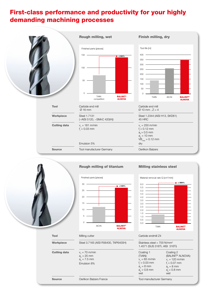### First-class performance and productivity for your highly demanding machining processes





### Rough milling of titanium



#### Milling stainless steel



**Cutting data** 

| Steel 3.7165 (AISI R56400, IAP6400H) |  |
|--------------------------------------|--|
|                                      |  |

 $v_{\rm s} = 70$  m/min  $a_n = 25$  mm  $a_e = 7.5$  mm Emulsion 8%

Tool Milling cutter Carbide endmill Z4

Lorem ipsum dolor sit amet BALINIT® ALCRONA PRO Workpiece Steel 3.7165 (AISI R56400, TAP6400H) Stainless steel > 700 N/mm<sup>2</sup> 1.4571 (SUS 316Ti, AlSI 316Ti) Coating 1 (TiAlN):  $v_c = 65$  m/min  $f_t = 0.03$  mm  $a_n = 8$  mm  $a_e = 0.8$  mm Coating 2 (BALINIT® ALNOVA):  $v_c = 120$  m/min  $f_t = 0.07$  mm  $a_{\circ} = 8$  mm  $a_{\circ} = 0.8$  mm

wet

Source **Source CONFIDENTIAL CONFIDENT** Oerlikon Balzers France **Tool manufacturer Germany** 

wet